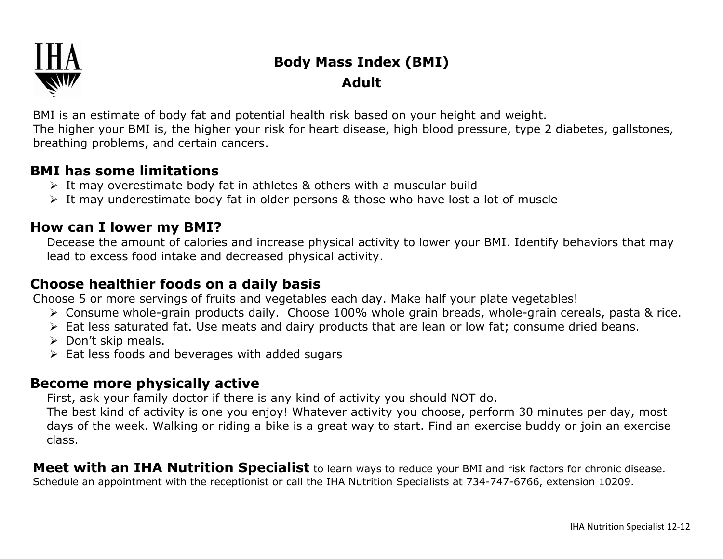

# **Body Mass Index (BMI) Adult**

BMI is an estimate of body fat and potential health risk based on your height and weight. The higher your BMI is, the higher your risk for heart disease, high blood pressure, type 2 diabetes, gallstones, breathing problems, and certain cancers.

#### **BMI has some limitations**

- $\triangleright$  It may overestimate body fat in athletes & others with a muscular build
- It may underestimate body fat in older persons & those who have lost a lot of muscle

### **How can I lower my BMI?**

Decease the amount of calories and increase physical activity to lower your BMI. Identify behaviors that may lead to excess food intake and decreased physical activity.

### **Choose healthier foods on a daily basis**

Choose 5 or more servings of fruits and vegetables each day. Make half your plate vegetables!

- Consume whole-grain products daily. Choose 100% whole grain breads, whole-grain cereals, pasta & rice.
- Eat less saturated fat. Use meats and dairy products that are lean or low fat; consume dried beans.
- $\triangleright$  Don't skip meals.
- $\triangleright$  Eat less foods and beverages with added sugars

## **Become more physically active**

First, ask your family doctor if there is any kind of activity you should NOT do.

The best kind of activity is one you enjoy! Whatever activity you choose, perform 30 minutes per day, most days of the week. Walking or riding a bike is a great way to start. Find an exercise buddy or join an exercise class.

**Meet with an IHA Nutrition Specialist** to learn ways to reduce your BMI and risk factors for chronic disease. Schedule an appointment with the receptionist or call the IHA Nutrition Specialists at 734-747-6766, extension 10209.